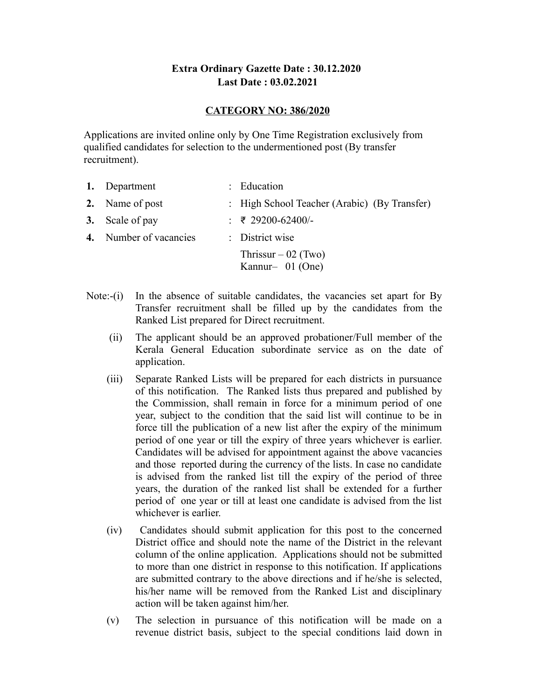# **Extra Ordinary Gazette Date : 30.12.2020 Last Date : 03.02.2021**

## **CATEGORY NO: 386/2020**

Applications are invited online only by One Time Registration exclusively from qualified candidates for selection to the undermentioned post (By transfer recruitment).

| 1. Department          | : Education                                  |
|------------------------|----------------------------------------------|
| 2. Name of post        | : High School Teacher (Arabic) (By Transfer) |
| 3. Scale of pay        | : ₹ 29200-62400/-                            |
| 4. Number of vacancies | : District wise                              |
|                        | Thrissur $-02$ (Two)<br>Kannur- $01$ (One)   |

- Note: $(i)$  In the absence of suitable candidates, the vacancies set apart for By Transfer recruitment shall be filled up by the candidates from the Ranked List prepared for Direct recruitment.
	- (ii) The applicant should be an approved probationer/Full member of the Kerala General Education subordinate service as on the date of application.
	- (iii) Separate Ranked Lists will be prepared for each districts in pursuance of this notification. The Ranked lists thus prepared and published by the Commission, shall remain in force for a minimum period of one year, subject to the condition that the said list will continue to be in force till the publication of a new list after the expiry of the minimum period of one year or till the expiry of three years whichever is earlier. Candidates will be advised for appointment against the above vacancies and those reported during the currency of the lists. In case no candidate is advised from the ranked list till the expiry of the period of three years, the duration of the ranked list shall be extended for a further period of one year or till at least one candidate is advised from the list whichever is earlier.
	- (iv) Candidates should submit application for this post to the concerned District office and should note the name of the District in the relevant column of the online application. Applications should not be submitted to more than one district in response to this notification. If applications are submitted contrary to the above directions and if he/she is selected, his/her name will be removed from the Ranked List and disciplinary action will be taken against him/her.
	- (v) The selection in pursuance of this notification will be made on a revenue district basis, subject to the special conditions laid down in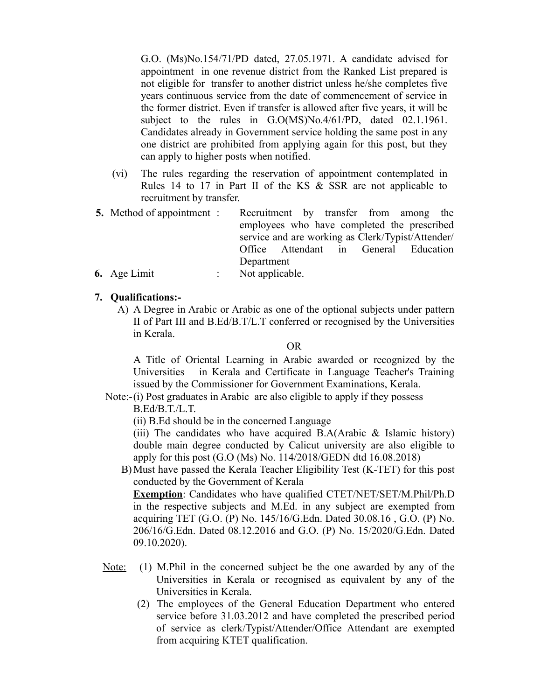G.O. (Ms)No.154/71/PD dated, 27.05.1971. A candidate advised for appointment in one revenue district from the Ranked List prepared is not eligible for transfer to another district unless he/she completes five years continuous service from the date of commencement of service in the former district. Even if transfer is allowed after five years, it will be subject to the rules in G.O(MS)No.4/61/PD, dated 02.1.1961. Candidates already in Government service holding the same post in any one district are prohibited from applying again for this post, but they can apply to higher posts when notified.

- (vi) The rules regarding the reservation of appointment contemplated in Rules 14 to 17 in Part II of the KS & SSR are not applicable to recruitment by transfer.
- **5.** Method of appointment : Recruitment by transfer from among the employees who have completed the prescribed service and are working as Clerk/Typist/Attender/ Office Attendant in General Education Department
- **6.** Age Limit : Not applicable.

#### **7. Qualifications:-**

 A) A Degree in Arabic or Arabic as one of the optional subjects under pattern II of Part III and B.Ed/B.T/L.T conferred or recognised by the Universities in Kerala.

OR

A Title of Oriental Learning in Arabic awarded or recognized by the Universities in Kerala and Certificate in Language Teacher's Training issued by the Commissioner for Government Examinations, Kerala.

Note:-(i) Post graduates in Arabic are also eligible to apply if they possess

B.Ed/B.T./L.T.

(ii) B.Ed should be in the concerned Language

(iii) The candidates who have acquired B.A(Arabic  $\&$  Islamic history) double main degree conducted by Calicut university are also eligible to apply for this post (G.O (Ms) No. 114/2018/GEDN dtd 16.08.2018)

 B)Must have passed the Kerala Teacher Eligibility Test (K-TET) for this post conducted by the Government of Kerala

**Exemption**: Candidates who have qualified CTET/NET/SET/M.Phil/Ph.D in the respective subjects and M.Ed. in any subject are exempted from acquiring TET (G.O. (P) No. 145/16/G.Edn. Dated 30.08.16 , G.O. (P) No. 206/16/G.Edn. Dated 08.12.2016 and G.O. (P) No. 15/2020/G.Edn. Dated 09.10.2020).

- Note: M.Phil in the concerned subject be the one awarded by any of the Universities in Kerala or recognised as equivalent by any of the Universities in Kerala.
- (2) The employees of the General Education Department who entered service before 31.03.2012 and have completed the prescribed period of service as clerk/Typist/Attender/Office Attendant are exempted from acquiring KTET qualification.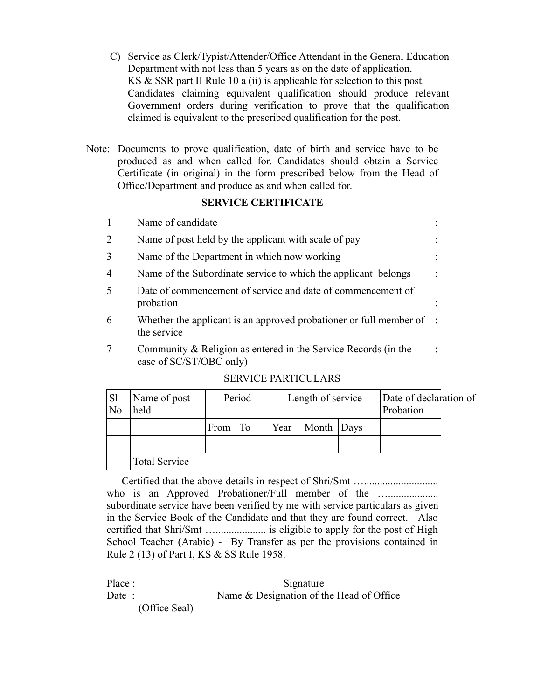- C) Service as Clerk/Typist/Attender/Office Attendant in the General Education Department with not less than 5 years as on the date of application. KS & SSR part II Rule 10 a (ii) is applicable for selection to this post. Candidates claiming equivalent qualification should produce relevant Government orders during verification to prove that the qualification claimed is equivalent to the prescribed qualification for the post.
- Note: Documents to prove qualification, date of birth and service have to be produced as and when called for. Candidates should obtain a Service Certificate (in original) in the form prescribed below from the Head of Office/Department and produce as and when called for.

### **SERVICE CERTIFICATE**

|               | Name of candidate                                                                              |  |
|---------------|------------------------------------------------------------------------------------------------|--|
| $\mathcal{L}$ | Name of post held by the applicant with scale of pay                                           |  |
| 3             | Name of the Department in which now working                                                    |  |
| 4             | Name of the Subordinate service to which the applicant belongs                                 |  |
| $\varsigma$   | Date of commencement of service and date of commencement of<br>probation                       |  |
| 6             | Whether the applicant is an approved probationer or full member of $\therefore$<br>the service |  |
|               | Community & Religion as entered in the Service Records (in the<br>case of SC/ST/OBC only)      |  |

### SERVICE PARTICULARS

| S <sub>1</sub><br>N <sub>o</sub> | Name of post<br>held | Period     |  | Length of service |            |  | Date of declaration of<br>Probation |  |
|----------------------------------|----------------------|------------|--|-------------------|------------|--|-------------------------------------|--|
|                                  |                      | From $ To$ |  | Year              | Month Days |  |                                     |  |
|                                  |                      |            |  |                   |            |  |                                     |  |
|                                  | <b>Total Service</b> |            |  |                   |            |  |                                     |  |

 Certified that the above details in respect of Shri/Smt …............................ who is an Approved Probationer/Full member of the ............................... subordinate service have been verified by me with service particulars as given in the Service Book of the Candidate and that they are found correct. Also certified that Shri/Smt …................... is eligible to apply for the post of High School Teacher (Arabic) - By Transfer as per the provisions contained in Rule 2 (13) of Part I, KS & SS Rule 1958.

Place : Signature Date : Name & Designation of the Head of Office (Office Seal)